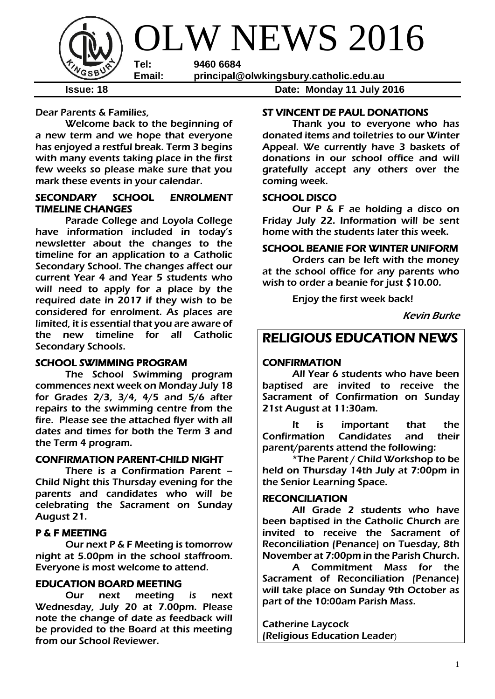

**Issue: 18 Date: Monday 11 July 2016**

Dear Parents & Families,

Welcome back to the beginning of a new term and we hope that everyone has enjoyed a restful break. Term 3 begins with many events taking place in the first few weeks so please make sure that you mark these events in your calendar.

#### SECONDARY SCHOOL ENROLMENT TIMELINE CHANGES

 Parade College and Loyola College have information included in today's newsletter about the changes to the timeline for an application to a Catholic Secondary School. The changes affect our current Year 4 and Year 5 students who will need to apply for a place by the required date in 2017 if they wish to be considered for enrolment. As places are limited, it is essential that you are aware of the new timeline for all Catholic Secondary Schools.

#### SCHOOL SWIMMING PROGRAM

The School Swimming program commences next week on Monday July 18 for Grades 2/3, 3/4, 4/5 and 5/6 after repairs to the swimming centre from the fire. Please see the attached flyer with all dates and times for both the Term 3 and the Term 4 program.

#### CONFIRMATION PARENT-CHILD NIGHT

 There is a Confirmation Parent – Child Night this Thursday evening for the parents and candidates who will be celebrating the Sacrament on Sunday August 21.

#### P & F MEETING

Our next P & F Meeting is tomorrow night at 5.00pm in the school staffroom. Everyone is most welcome to attend.

#### EDUCATION BOARD MEETING

Our next meeting is next Wednesday, July 20 at 7.00pm. Please note the change of date as feedback will be provided to the Board at this meeting from our School Reviewer.

#### ST VINCENT DE PAUL DONATIONS

Thank you to everyone who has donated items and toiletries to our Winter Appeal. We currently have 3 baskets of donations in our school office and will gratefully accept any others over the coming week.

#### SCHOOL DISCO

Our P & F ae holding a disco on Friday July 22. Information will be sent home with the students later this week.

#### SCHOOL BEANIE FOR WINTER UNIFORM

 Orders can be left with the money at the school office for any parents who wish to order a beanie for just \$10.00.

Enjoy the first week back!

Kevin Burke

### RELIGIOUS EDUCATION NEWS

#### **CONFIRMATION**

All Year 6 students who have been baptised are invited to receive the Sacrament of Confirmation on Sunday 21st August at 11:30am.

It is important that the Confirmation Candidates and their parent/parents attend the following:

\*The Parent / Child Workshop to be held on Thursday 14th July at 7:00pm in the Senior Learning Space.

#### RECONCILIATION

All Grade 2 students who have been baptised in the Catholic Church are invited to receive the Sacrament of Reconciliation (Penance) on Tuesday, 8th November at 7:00pm in the Parish Church.

A Commitment Mass for the Sacrament of Reconciliation (Penance) will take place on Sunday 9th October as part of the 10:00am Parish Mass.

Catherine Laycock (Religious Education Leader)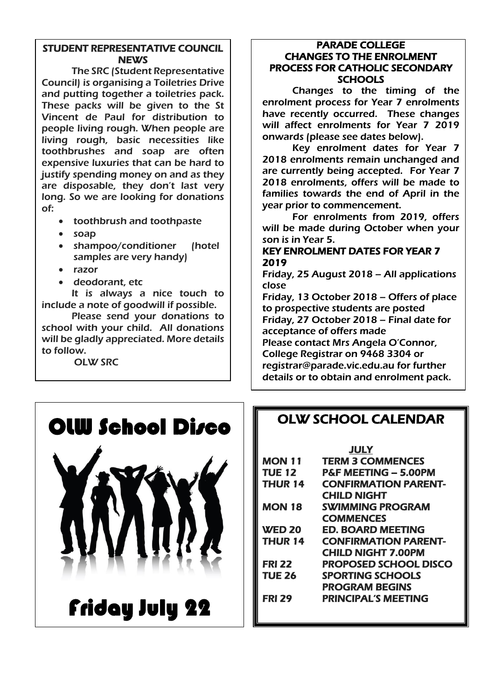#### STUDENT REPRESENTATIVE COUNCIL **NEWS**

The SRC (Student Representative Council) is organising a Toiletries Drive and putting together a toiletries pack. These packs will be given to the St Vincent de Paul for distribution to people living rough. When people are living rough, basic necessities like toothbrushes and soap are often expensive luxuries that can be hard to justify spending money on and as they are disposable, they don't last very long. So we are looking for donations of:

- toothbrush and toothpaste
- soap
- shampoo/conditioner (hotel samples are very handy)
- razor
- deodorant, etc

It is always a nice touch to include a note of goodwill if possible.

Please send your donations to school with your child. All donations will be gladly appreciated. More details to follow.

OLW SRC

#### PARADE COLLEGE CHANGES TO THE ENROLMENT PROCESS FOR CATHOLIC SECONDARY **SCHOOLS**

Changes to the timing of the enrolment process for Year 7 enrolments have recently occurred. These changes will affect enrolments for Year 7 2019 onwards (please see dates below).

Key enrolment dates for Year 7 2018 enrolments remain unchanged and are currently being accepted. For Year 7 2018 enrolments, offers will be made to families towards the end of April in the year prior to commencement.

For enrolments from 2019, offers will be made during October when your son is in Year 5.

#### KEY ENROLMENT DATES FOR YEAR 7 2019

Friday, 25 August 2018 – All applications close

Friday, 13 October 2018 – Offers of place to prospective students are posted Friday, 27 October 2018 – Final date for acceptance of offers made

Please contact Mrs Angela O'Connor, College Registrar on 9468 3304 or registrar@parade.vic.edu.au for further details or to obtain and enrolment pack.





# Friday July 22

### OLW SCHOOL CALENDAR

**JULY** 

| MON 11        | <b>TERM 3 COMMENCES</b>         |
|---------------|---------------------------------|
| <b>TUE 12</b> | <b>P&amp;F MEETING - 5.00PM</b> |
| THUR 14       | <b>CONFIRMATION PARENT-</b>     |
|               | <b>CHILD NIGHT</b>              |
| <b>MON 18</b> | <b>SWIMMING PROGRAM</b>         |
|               | <b>COMMENCES</b>                |
| <b>WED 20</b> | ED. BOARD MEETING               |
| THUR 14       | <b>CONFIRMATION PARENT-</b>     |
|               | <b>CHILD NIGHT 7.00PM</b>       |
| <b>FRI 22</b> | <b>PROPOSED SCHOOL DISCO</b>    |
| TUE 26        | <b>SPORTING SCHOOLS</b>         |
|               | <b>PROGRAM BEGINS</b>           |
| <b>FRI 29</b> | <b>PRINCIPAL'S MEETING</b>      |
|               |                                 |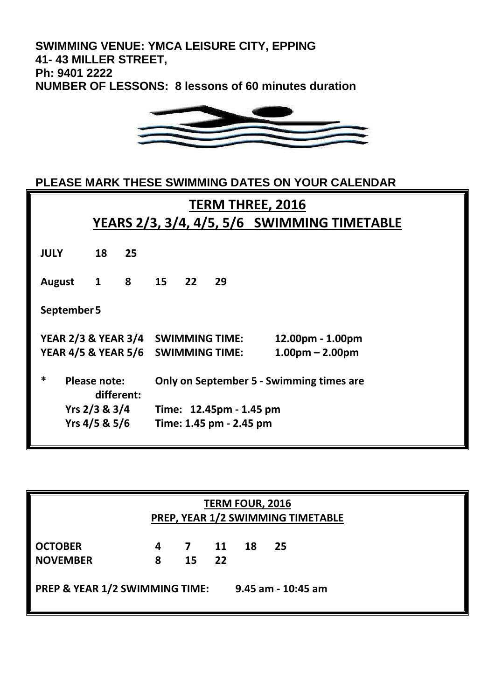**SWIMMING VENUE: YMCA LEISURE CITY, EPPING 41- 43 MILLER STREET, Ph: 9401 2222 NUMBER OF LESSONS: 8 lessons of 60 minutes duration**



**PLEASE MARK THESE SWIMMING DATES ON YOUR CALENDAR**

| <b>TERM THREE, 2016</b>                      |                                             |           |                         |  |                                          |                   |  |
|----------------------------------------------|---------------------------------------------|-----------|-------------------------|--|------------------------------------------|-------------------|--|
|                                              | YEARS 2/3, 3/4, 4/5, 5/6 SWIMMING TIMETABLE |           |                         |  |                                          |                   |  |
|                                              |                                             |           |                         |  |                                          |                   |  |
| <b>JULY</b>                                  | 18                                          | 25        |                         |  |                                          |                   |  |
| <b>August</b>                                |                                             | 1 8 15 22 |                         |  | 29                                       |                   |  |
| September 5                                  |                                             |           |                         |  |                                          |                   |  |
| YEAR 2/3 & YEAR 3/4 SWIMMING TIME:           |                                             |           |                         |  |                                          | 12.00pm - 1.00pm  |  |
| YEAR 4/5 & YEAR 5/6 SWIMMING TIME:           |                                             |           |                         |  |                                          | $1.00pm - 2.00pm$ |  |
| *<br>Please note:<br>different:              |                                             |           |                         |  | Only on September 5 - Swimming times are |                   |  |
| Yrs 2/3 & 3/4                                |                                             |           | Time: 12.45pm - 1.45 pm |  |                                          |                   |  |
| Yrs $4/5$ & $5/6$<br>Time: 1.45 pm - 2.45 pm |                                             |           |                         |  |                                          |                   |  |
|                                              |                                             |           |                         |  |                                          |                   |  |

| <b>TERM FOUR, 2016</b><br>PREP, YEAR 1/2 SWIMMING TIMETABLE     |        |                |          |    |     |  |  |  |
|-----------------------------------------------------------------|--------|----------------|----------|----|-----|--|--|--|
| <b>OCTOBER</b><br><b>NOVEMBER</b>                               | 4<br>8 | <b>7</b><br>15 | 11<br>22 | 18 | -25 |  |  |  |
| <b>PREP &amp; YEAR 1/2 SWIMMING TIME:</b><br>9.45 am - 10:45 am |        |                |          |    |     |  |  |  |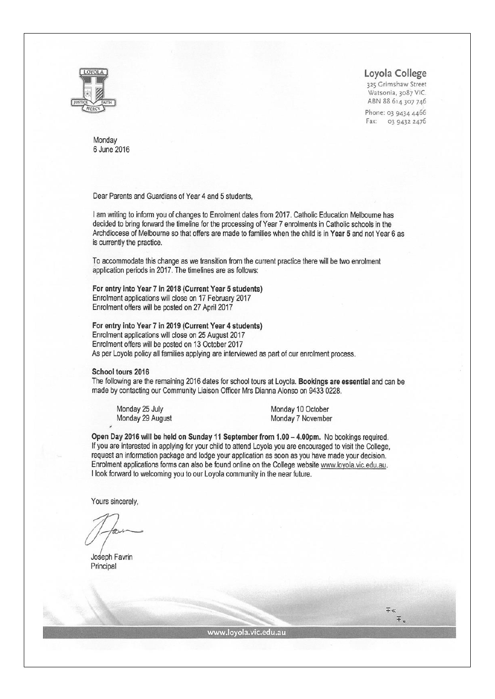

Loyola College

325 Grimshaw Street Watsonia, 3087 VIC. ABN 88 614 307 746

Phone: 03 9434 4466 Fax: 03 9432 2476

> $\mp$  $F_{\rm e}$

Monday 6 June 2016

Dear Parents and Guardians of Year 4 and 5 students,

I am writing to inform you of changes to Enrolment dates from 2017. Catholic Education Melbourne has decided to bring forward the timeline for the processing of Year 7 enrolments in Catholic schools in the Archdiocese of Melbourne so that offers are made to families when the child is in Year 5 and not Year 6 as is currently the practice.

To accommodate this change as we transition from the current practice there will be two enrolment application periods in 2017. The timelines are as follows:

For entry into Year 7 in 2018 (Current Year 5 students) Enrolment applications will close on 17 February 2017 Enrolment offers will be posted on 27 April 2017

For entry into Year 7 in 2019 (Current Year 4 students)

Enrolment applications will close on 25 August 2017 Enrolment offers will be posted on 13 October 2017 As per Loyola policy all families applying are interviewed as part of our enrolment process.

#### School tours 2016

The following are the remaining 2016 dates for school tours at Loyola. Bookings are essential and can be made by contacting our Community Liaison Officer Mrs Dianna Alonso on 9433 0228.

Monday 25 July Monday 29 August Monday 10 October Monday 7 November

Open Day 2016 will be held on Sunday 11 September from 1.00 - 4.00pm. No bookings required. If you are interested in applying for your child to attend Loyola you are encouraged to visit the College, request an information package and lodge your application as soon as you have made your decision. Enrolment applications forms can also be found online on the College website www.loyola.vic.edu.au. I look forward to welcoming you to our Loyola community in the near future.

Yours sincerely,

Joseph Favrin Principal

www.loyola.vic.edu.au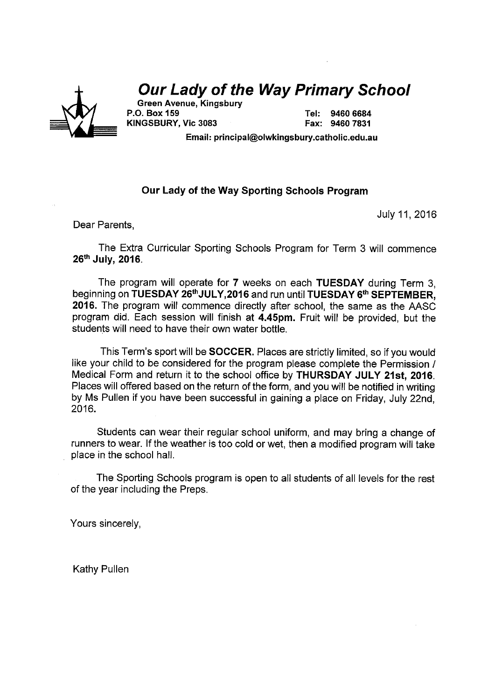

## **Our Lady of the Way Primary School**

Green Avenue, Kingsbury P.O. Box 159 KINGSBURY, Vic 3083

Tel: 9460 6684 Fax: 9460 7831

Email: principal@olwkingsbury.catholic.edu.au

#### Our Lady of the Way Sporting Schools Program

July 11, 2016

Dear Parents,

The Extra Curricular Sporting Schools Program for Term 3 will commence 26th July, 2016.

The program will operate for 7 weeks on each TUESDAY during Term 3, beginning on TUESDAY 26<sup>th</sup>JULY, 2016 and run until TUESDAY 6<sup>th</sup> SEPTEMBER. 2016. The program will commence directly after school, the same as the AASC program did. Each session will finish at 4.45pm. Fruit will be provided, but the students will need to have their own water bottle.

This Term's sport will be **SOCCER**. Places are strictly limited, so if you would like your child to be considered for the program please complete the Permission / Medical Form and return it to the school office by THURSDAY JULY 21st. 2016. Places will offered based on the return of the form, and you will be notified in writing by Ms Pullen if you have been successful in gaining a place on Friday. July 22nd. 2016.

Students can wear their regular school uniform, and may bring a change of runners to wear. If the weather is too cold or wet, then a modified program will take place in the school hall.

The Sporting Schools program is open to all students of all levels for the rest of the year including the Preps.

Yours sincerely,

**Kathy Pullen**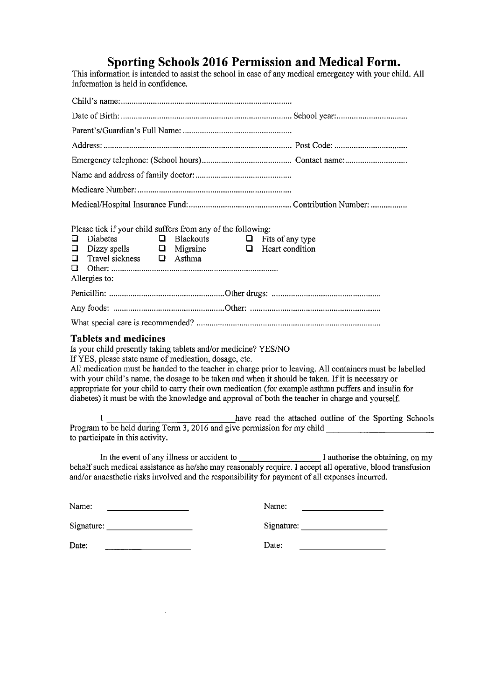Sporting Schools 2016 Permission and Medical Form.<br>This information is intended to assist the school in case of any medical emergency with your child. All information is held in confidence.

| Please tick if your child suffers from any of the following:<br>Diabetes $\Box$ Blackouts $\Box$ Fits of any type<br>O<br>Dizzy spells $\Box$ Migraine $\Box$ Heart condition<br>$\Box$<br>Travel sickness $\qquad \qquad \Box$ Asthma<br>$\Box$<br>Q.<br>Allergies to:                                                                                                                                                                                                                                                                                                              |                                                                                                                                                                                                                                                                                                                                                                                                |  |  |
|--------------------------------------------------------------------------------------------------------------------------------------------------------------------------------------------------------------------------------------------------------------------------------------------------------------------------------------------------------------------------------------------------------------------------------------------------------------------------------------------------------------------------------------------------------------------------------------|------------------------------------------------------------------------------------------------------------------------------------------------------------------------------------------------------------------------------------------------------------------------------------------------------------------------------------------------------------------------------------------------|--|--|
|                                                                                                                                                                                                                                                                                                                                                                                                                                                                                                                                                                                      |                                                                                                                                                                                                                                                                                                                                                                                                |  |  |
|                                                                                                                                                                                                                                                                                                                                                                                                                                                                                                                                                                                      |                                                                                                                                                                                                                                                                                                                                                                                                |  |  |
|                                                                                                                                                                                                                                                                                                                                                                                                                                                                                                                                                                                      |                                                                                                                                                                                                                                                                                                                                                                                                |  |  |
| <b>Tablets and medicines</b><br>Is your child presently taking tablets and/or medicine? YES/NO<br>If YES, please state name of medication, dosage, etc.<br>All medication must be handed to the teacher in charge prior to leaving. All containers must be labelled<br>with your child's name, the dosage to be taken and when it should be taken. If it is necessary or<br>appropriate for your child to carry their own medication (for example asthma puffers and insulin for<br>diabetes) it must be with the knowledge and approval of both the teacher in charge and yourself. |                                                                                                                                                                                                                                                                                                                                                                                                |  |  |
| to participate in this activity.                                                                                                                                                                                                                                                                                                                                                                                                                                                                                                                                                     |                                                                                                                                                                                                                                                                                                                                                                                                |  |  |
| behalf such medical assistance as he/she may reasonably require. I accept all operative, blood transfusion<br>and/or anaesthetic risks involved and the responsibility for payment of all expenses incurred.                                                                                                                                                                                                                                                                                                                                                                         |                                                                                                                                                                                                                                                                                                                                                                                                |  |  |
| Name:<br><u> 1980 - John Barn Barn, mars ar breith</u>                                                                                                                                                                                                                                                                                                                                                                                                                                                                                                                               | Name:                                                                                                                                                                                                                                                                                                                                                                                          |  |  |
|                                                                                                                                                                                                                                                                                                                                                                                                                                                                                                                                                                                      | Signature: $\frac{1}{\sqrt{1-\frac{1}{2}}}\left\{ \frac{1}{2} + \frac{1}{2} + \frac{1}{2} + \frac{1}{2} + \frac{1}{2} + \frac{1}{2} + \frac{1}{2} + \frac{1}{2} + \frac{1}{2} + \frac{1}{2} + \frac{1}{2} + \frac{1}{2} + \frac{1}{2} + \frac{1}{2} + \frac{1}{2} + \frac{1}{2} + \frac{1}{2} + \frac{1}{2} + \frac{1}{2} + \frac{1}{2} + \frac{1}{2} + \frac{1}{2} + \frac{1}{2} + \frac{1}{$ |  |  |
| Date:                                                                                                                                                                                                                                                                                                                                                                                                                                                                                                                                                                                | Date:                                                                                                                                                                                                                                                                                                                                                                                          |  |  |

 $\sim$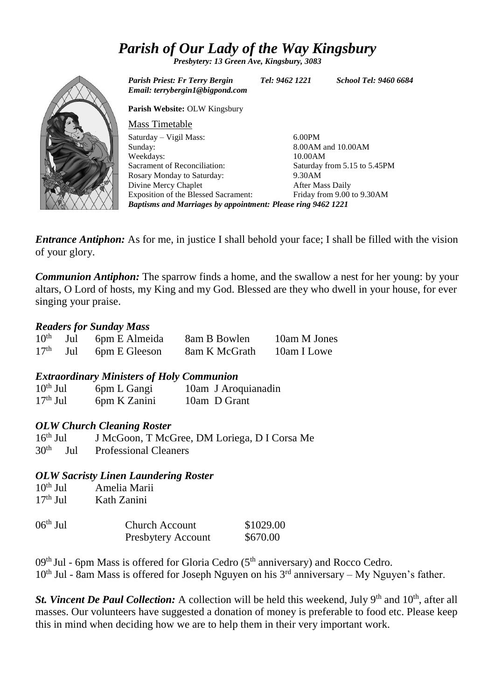### *Parish of Our Lady of the Way Kingsbury*

*Presbytery: 13 Green Ave, Kingsbury, 3083*



*Parish Priest: Fr Terry Bergin Tel: 9462 1221 School Tel: 9460 6684 Email: terrybergin1@bigpond.com* **Parish Website:** OLW Kingsbury Mass Timetable Saturday – Vigil Mass: Sunday: Weekdays: Sacrament of Reconciliation: Rosary Monday to Saturday: Divine Mercy Chaplet Exposition of the Blessed Sacrament: 6.00PM 8.00AM and 10.00AM 10.00AM Saturday from 5.15 to 5.45PM 9.30AM After Mass Daily Friday from 9.00 to 9.30AM *Baptisms and Marriages by appointment: Please ring 9462 1221*

*Entrance Antiphon:* As for me, in justice I shall behold your face; I shall be filled with the vision of your glory.

*Communion Antiphon:* The sparrow finds a home, and the swallow a nest for her young: by your altars, O Lord of hosts, my King and my God. Blessed are they who dwell in your house, for ever singing your praise.

#### *Readers for Sunday Mass*

| 10 <sup>th</sup> | Jul | 6pm E Almeida            | 8am B Bowlen  | 10am M Jones |
|------------------|-----|--------------------------|---------------|--------------|
|                  |     | $17th$ Jul 6pm E Gleeson | 8am K McGrath | 10am I Lowe  |

*Extraordinary Ministers of Holy Communion*

| $10th$ Jul | 6pm L Gangi  | 10am J Aroquianadin |
|------------|--------------|---------------------|
| $17th$ Jul | 6pm K Zanini | 10am D Grant        |

#### *OLW Church Cleaning Roster*

16th Jul J McGoon, T McGree, DM Loriega, D I Corsa Me 30th Jul Professional Cleaners

#### *OLW Sacristy Linen Laundering Roster*

| $10^{th}$ Jul<br>$17th$ Jul | Amelia Marii<br>Kath Zanini                        |                       |
|-----------------------------|----------------------------------------------------|-----------------------|
| $06th$ Jul                  | <b>Church Account</b><br><b>Presbytery Account</b> | \$1029.00<br>\$670.00 |

 $09<sup>th</sup>$  Jul - 6pm Mass is offered for Gloria Cedro ( $5<sup>th</sup>$  anniversary) and Rocco Cedro.  $10<sup>th</sup>$  Jul - 8am Mass is offered for Joseph Nguyen on his  $3<sup>rd</sup>$  anniversary – My Nguyen's father.

*St. Vincent De Paul Collection:* A collection will be held this weekend, July 9<sup>th</sup> and 10<sup>th</sup>, after all masses. Our volunteers have suggested a donation of money is preferable to food etc. Please keep this in mind when deciding how we are to help them in their very important work.